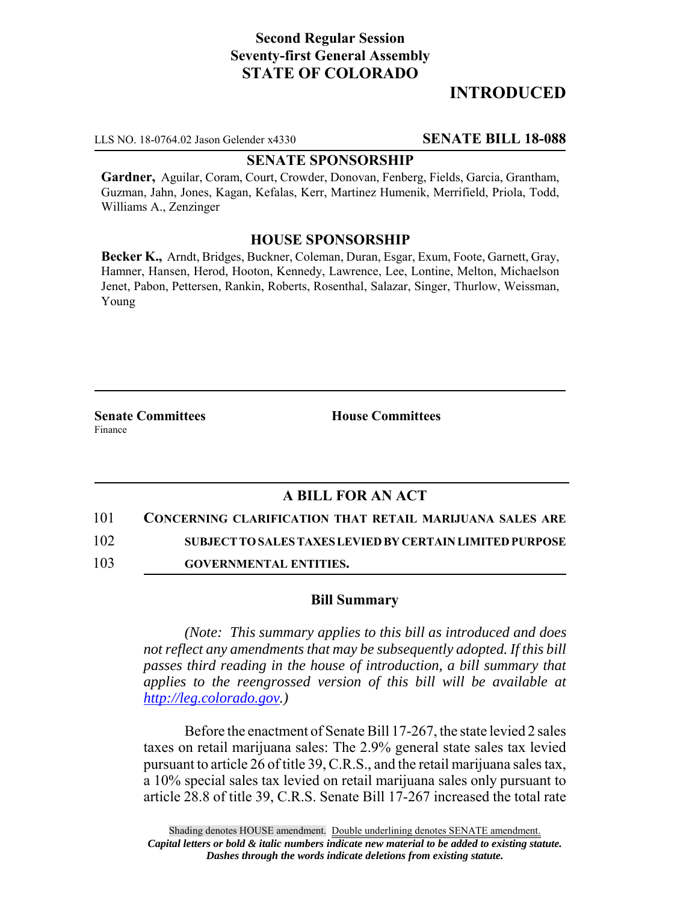# **Second Regular Session Seventy-first General Assembly STATE OF COLORADO**

# **INTRODUCED**

LLS NO. 18-0764.02 Jason Gelender x4330 **SENATE BILL 18-088**

#### **SENATE SPONSORSHIP**

**Gardner,** Aguilar, Coram, Court, Crowder, Donovan, Fenberg, Fields, Garcia, Grantham, Guzman, Jahn, Jones, Kagan, Kefalas, Kerr, Martinez Humenik, Merrifield, Priola, Todd, Williams A., Zenzinger

### **HOUSE SPONSORSHIP**

**Becker K.,** Arndt, Bridges, Buckner, Coleman, Duran, Esgar, Exum, Foote, Garnett, Gray, Hamner, Hansen, Herod, Hooton, Kennedy, Lawrence, Lee, Lontine, Melton, Michaelson Jenet, Pabon, Pettersen, Rankin, Roberts, Rosenthal, Salazar, Singer, Thurlow, Weissman, Young

**Senate Committees House Committees** Finance

## **A BILL FOR AN ACT**

101 **CONCERNING CLARIFICATION THAT RETAIL MARIJUANA SALES ARE**

102 **SUBJECT TO SALES TAXES LEVIED BY CERTAIN LIMITED PURPOSE**

103 **GOVERNMENTAL ENTITIES.**

### **Bill Summary**

*(Note: This summary applies to this bill as introduced and does not reflect any amendments that may be subsequently adopted. If this bill passes third reading in the house of introduction, a bill summary that applies to the reengrossed version of this bill will be available at http://leg.colorado.gov.)*

Before the enactment of Senate Bill 17-267, the state levied 2 sales taxes on retail marijuana sales: The 2.9% general state sales tax levied pursuant to article 26 of title 39, C.R.S., and the retail marijuana sales tax, a 10% special sales tax levied on retail marijuana sales only pursuant to article 28.8 of title 39, C.R.S. Senate Bill 17-267 increased the total rate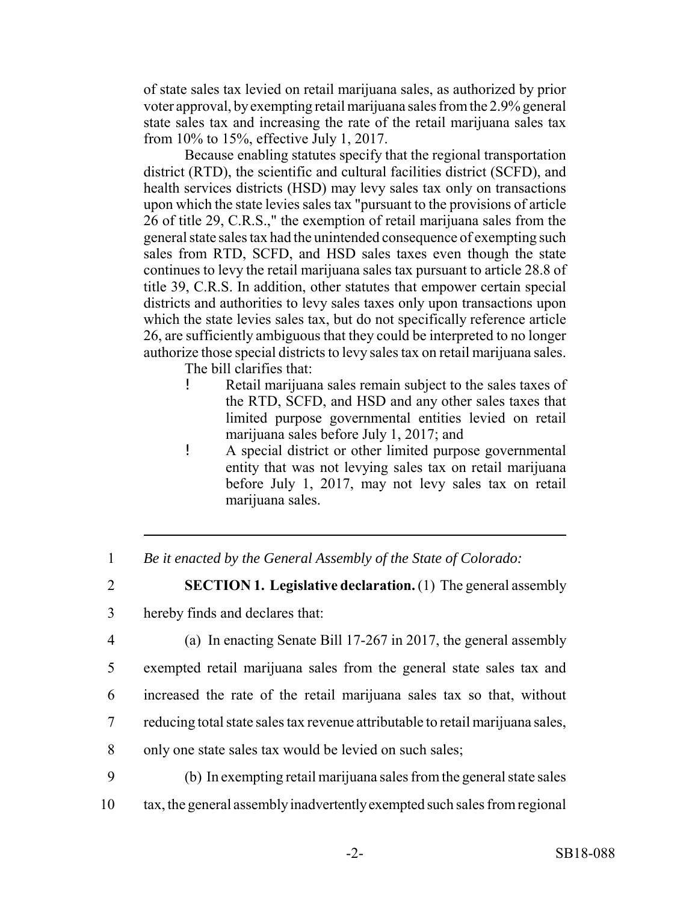of state sales tax levied on retail marijuana sales, as authorized by prior voter approval, by exempting retail marijuana sales from the 2.9% general state sales tax and increasing the rate of the retail marijuana sales tax from 10% to 15%, effective July 1, 2017.

Because enabling statutes specify that the regional transportation district (RTD), the scientific and cultural facilities district (SCFD), and health services districts (HSD) may levy sales tax only on transactions upon which the state levies sales tax "pursuant to the provisions of article 26 of title 29, C.R.S.," the exemption of retail marijuana sales from the general state sales tax had the unintended consequence of exempting such sales from RTD, SCFD, and HSD sales taxes even though the state continues to levy the retail marijuana sales tax pursuant to article 28.8 of title 39, C.R.S. In addition, other statutes that empower certain special districts and authorities to levy sales taxes only upon transactions upon which the state levies sales tax, but do not specifically reference article 26, are sufficiently ambiguous that they could be interpreted to no longer authorize those special districts to levy sales tax on retail marijuana sales.

The bill clarifies that:

- ! Retail marijuana sales remain subject to the sales taxes of the RTD, SCFD, and HSD and any other sales taxes that limited purpose governmental entities levied on retail marijuana sales before July 1, 2017; and
- ! A special district or other limited purpose governmental entity that was not levying sales tax on retail marijuana before July 1, 2017, may not levy sales tax on retail marijuana sales.

1 *Be it enacted by the General Assembly of the State of Colorado:*

2 **SECTION 1. Legislative declaration.** (1) The general assembly

- 3 hereby finds and declares that:
- 

4 (a) In enacting Senate Bill 17-267 in 2017, the general assembly

5 exempted retail marijuana sales from the general state sales tax and

6 increased the rate of the retail marijuana sales tax so that, without

- 7 reducing total state sales tax revenue attributable to retail marijuana sales,
- 8 only one state sales tax would be levied on such sales;

9 (b) In exempting retail marijuana sales from the general state sales 10 tax, the general assembly inadvertently exempted such sales from regional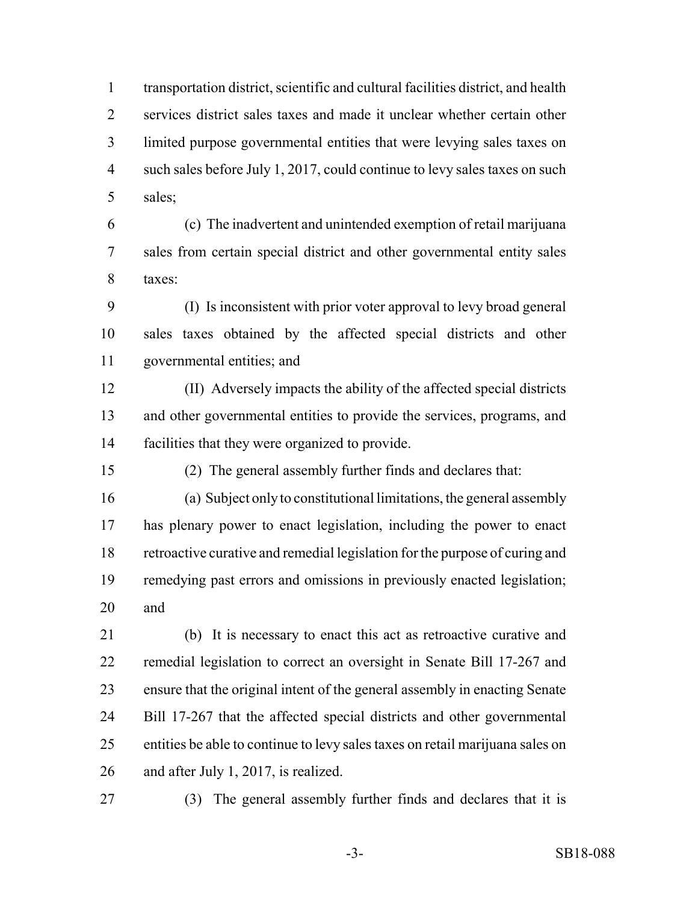transportation district, scientific and cultural facilities district, and health services district sales taxes and made it unclear whether certain other limited purpose governmental entities that were levying sales taxes on 4 such sales before July 1, 2017, could continue to levy sales taxes on such sales;

 (c) The inadvertent and unintended exemption of retail marijuana sales from certain special district and other governmental entity sales taxes:

 (I) Is inconsistent with prior voter approval to levy broad general sales taxes obtained by the affected special districts and other governmental entities; and

 (II) Adversely impacts the ability of the affected special districts and other governmental entities to provide the services, programs, and facilities that they were organized to provide.

(2) The general assembly further finds and declares that:

 (a) Subject only to constitutional limitations, the general assembly has plenary power to enact legislation, including the power to enact retroactive curative and remedial legislation for the purpose of curing and remedying past errors and omissions in previously enacted legislation; and

 (b) It is necessary to enact this act as retroactive curative and remedial legislation to correct an oversight in Senate Bill 17-267 and ensure that the original intent of the general assembly in enacting Senate Bill 17-267 that the affected special districts and other governmental entities be able to continue to levy sales taxes on retail marijuana sales on and after July 1, 2017, is realized.

(3) The general assembly further finds and declares that it is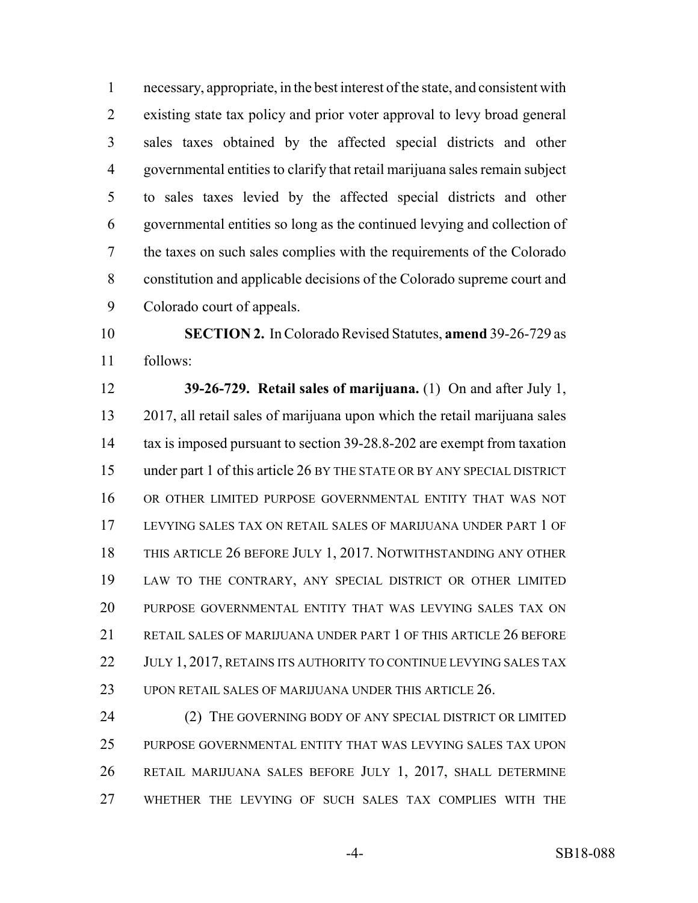necessary, appropriate, in the best interest of the state, and consistent with existing state tax policy and prior voter approval to levy broad general sales taxes obtained by the affected special districts and other governmental entities to clarify that retail marijuana sales remain subject to sales taxes levied by the affected special districts and other governmental entities so long as the continued levying and collection of the taxes on such sales complies with the requirements of the Colorado constitution and applicable decisions of the Colorado supreme court and Colorado court of appeals.

 **SECTION 2.** In Colorado Revised Statutes, **amend** 39-26-729 as follows:

 **39-26-729. Retail sales of marijuana.** (1) On and after July 1, 2017, all retail sales of marijuana upon which the retail marijuana sales tax is imposed pursuant to section 39-28.8-202 are exempt from taxation under part 1 of this article 26 BY THE STATE OR BY ANY SPECIAL DISTRICT OR OTHER LIMITED PURPOSE GOVERNMENTAL ENTITY THAT WAS NOT LEVYING SALES TAX ON RETAIL SALES OF MARIJUANA UNDER PART 1 OF THIS ARTICLE 26 BEFORE JULY 1, 2017. NOTWITHSTANDING ANY OTHER LAW TO THE CONTRARY, ANY SPECIAL DISTRICT OR OTHER LIMITED PURPOSE GOVERNMENTAL ENTITY THAT WAS LEVYING SALES TAX ON 21 RETAIL SALES OF MARIJUANA UNDER PART 1 OF THIS ARTICLE 26 BEFORE 22 JULY 1, 2017, RETAINS ITS AUTHORITY TO CONTINUE LEVYING SALES TAX 23 UPON RETAIL SALES OF MARIJUANA UNDER THIS ARTICLE 26.

24 (2) THE GOVERNING BODY OF ANY SPECIAL DISTRICT OR LIMITED PURPOSE GOVERNMENTAL ENTITY THAT WAS LEVYING SALES TAX UPON RETAIL MARIJUANA SALES BEFORE JULY 1, 2017, SHALL DETERMINE WHETHER THE LEVYING OF SUCH SALES TAX COMPLIES WITH THE